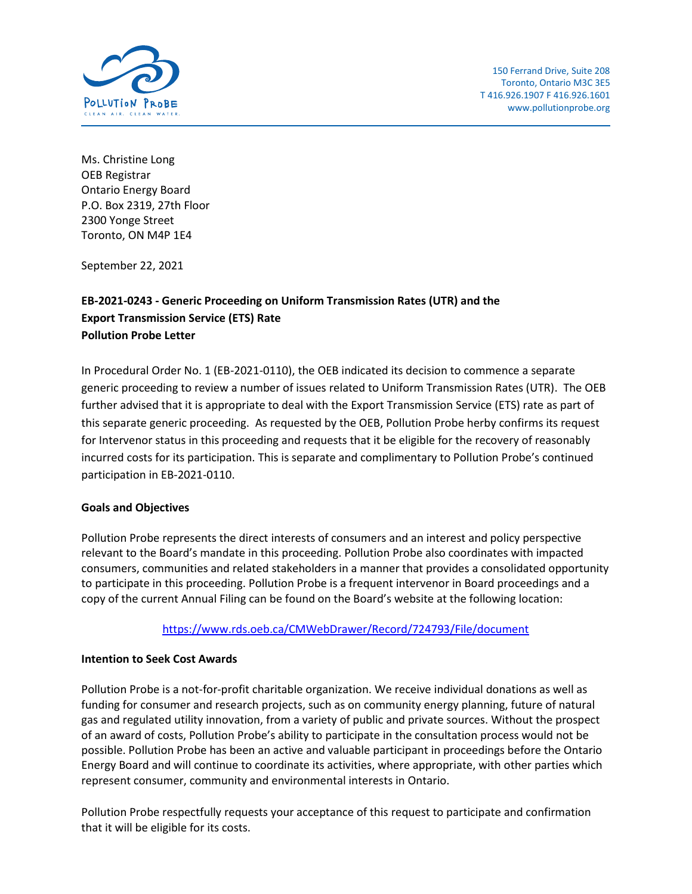

Ms. Christine Long OEB Registrar Ontario Energy Board P.O. Box 2319, 27th Floor 2300 Yonge Street Toronto, ON M4P 1E4

September 22, 2021

## **EB-2021-0243 - Generic Proceeding on Uniform Transmission Rates (UTR) and the Export Transmission Service (ETS) Rate Pollution Probe Letter**

In Procedural Order No. 1 (EB-2021-0110), the OEB indicated its decision to commence a separate generic proceeding to review a number of issues related to Uniform Transmission Rates (UTR). The OEB further advised that it is appropriate to deal with the Export Transmission Service (ETS) rate as part of this separate generic proceeding. As requested by the OEB, Pollution Probe herby confirms its request for Intervenor status in this proceeding and requests that it be eligible for the recovery of reasonably incurred costs for its participation. This is separate and complimentary to Pollution Probe's continued participation in EB-2021-0110.

## **Goals and Objectives**

Pollution Probe represents the direct interests of consumers and an interest and policy perspective relevant to the Board's mandate in this proceeding. Pollution Probe also coordinates with impacted consumers, communities and related stakeholders in a manner that provides a consolidated opportunity to participate in this proceeding. Pollution Probe is a frequent intervenor in Board proceedings and a copy of the current Annual Filing can be found on the Board's website at the following location:

<https://www.rds.oeb.ca/CMWebDrawer/Record/724793/File/document>

## **Intention to Seek Cost Awards**

Pollution Probe is a not-for-profit charitable organization. We receive individual donations as well as funding for consumer and research projects, such as on community energy planning, future of natural gas and regulated utility innovation, from a variety of public and private sources. Without the prospect of an award of costs, Pollution Probe's ability to participate in the consultation process would not be possible. Pollution Probe has been an active and valuable participant in proceedings before the Ontario Energy Board and will continue to coordinate its activities, where appropriate, with other parties which represent consumer, community and environmental interests in Ontario.

Pollution Probe respectfully requests your acceptance of this request to participate and confirmation that it will be eligible for its costs.